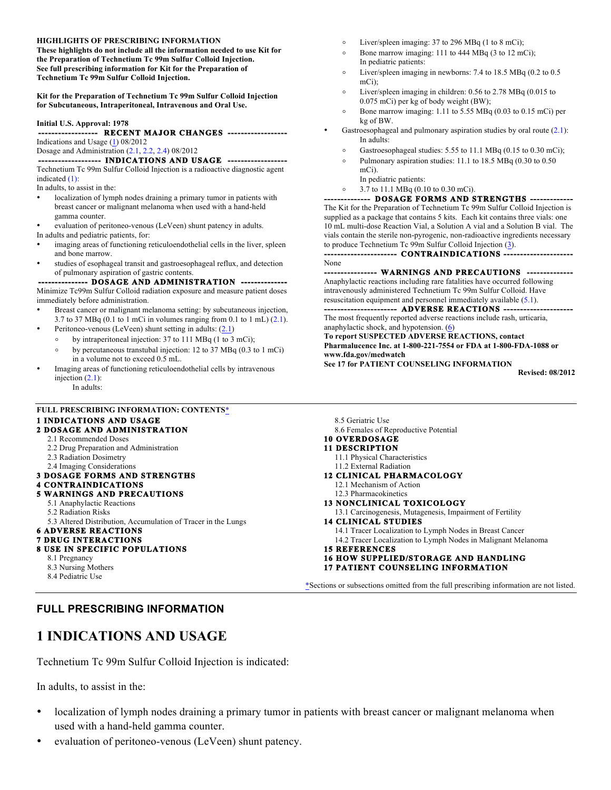#### **HIGHLIGHTS OF PRESCRIBING INFORMATION**

**These highlights do not include all the information needed to use Kit for the Preparation of Technetium Tc 99m Sulfur Colloid Injection. See full prescribing information for Kit for the Preparation of Technetium Tc 99m Sulfur Colloid Injection.** 

**Kit for the Preparation of Technetium Tc 99m Sulfur Colloid Injection for Subcutaneous, Intraperitoneal, Intravenous and Oral Use.** 

#### **Initial U.S. Approval: 1978**

#### **------------------ RECENT MAJOR CHANGES ------------------** Indications and Usage  $(1)$  08/2012

Dosage and Administration (2.1, 2.2, 2.4) 08/2012

#### -- INDICATIONS AND USAGE --

Technetium Tc 99m Sulfur Colloid Injection is a radioactive diagnostic agent indicated (1):

In adults, to assist in the:

- localization of lymph nodes draining a primary tumor in patients with breast cancer or malignant melanoma when used with a hand-held gamma counter.
- evaluation of peritoneo-venous (LeVeen) shunt patency in adults. In adults and pediatric patients, for:
- imaging areas of functioning reticuloendothelial cells in the liver, spleen and bone marrow.
- studies of esophageal transit and gastroesophageal reflux, and detection of pulmonary aspiration of gastric contents.

- DOSAGE AND ADMINISTRATION **·** Minimize Tc99m Sulfur Colloid radiation exposure and measure patient doses immediately before administration.

- Breast cancer or malignant melanoma setting: by subcutaneous injection, 3.7 to 37 MBq (0.1 to 1 mCi in volumes ranging from 0.1 to 1 mL) (2.1).
- Peritoneo-venous (LeVeen) shunt setting in adults:  $(2.1)$
- ∘ by intraperitoneal injection: 37 to 111 MBq (1 to 3 mCi);
	- ∘ by percutaneous transtubal injection: 12 to 37 MBq (0.3 to 1 mCi) in a volume not to exceed 0.5 mL.
- Imaging areas of functioning reticuloendothelial cells by intravenous injection  $(2.1)$ :

In adults:

## **FULL PRESCRIBING INFORMATION: CONTENTS**\*

#### **1 INDICATIONS AND USAGE**

#### **2 DOSAGE AND ADMINISTRATION**

- 2.1 Recommended Doses 2.2 Drug Preparation and Administration
- 2.3 Radiation Dosimetry
- 2.4 Imaging Considerations
- **3 DOSAGE FORMS AND STRENGTHS**

#### **4 CONTRAINDICATIONS**

#### **5 WARNINGS AND PRECAUTIONS**

- 5.1 Anaphylactic Reactions
- 5.2 Radiation Risks
- 5.3 Altered Distribution, Accumulation of Tracer in the Lungs

#### **6 ADVERSE REACTIONS 7 DRUG INTERACTIONS**

### **8 USE IN SPECIFIC POPULATIONS**

8.1 Pregnancy

- 8.3 Nursing Mothers
- 8.4 Pediatric Use

### **FULL PRESCRIBING INFORMATION**

## **1 INDICATIONS AND USAGE**

Technetium Tc 99m Sulfur Colloid Injection is indicated:

In adults, to assist in the:

- localization of lymph nodes draining a primary tumor in patients with breast cancer or malignant melanoma when used with a hand-held gamma counter.
- evaluation of peritoneo-venous (LeVeen) shunt patency.
- ∘ Liver/spleen imaging: 37 to 296 MBq (1 to 8 mCi);
- ∘ Bone marrow imaging: 111 to 444 MBq (3 to 12 mCi); In pediatric patients:
- ∘ Liver/spleen imaging in newborns: 7.4 to 18.5 MBq (0.2 to 0.5 mCi);
- ∘ Liver/spleen imaging in children: 0.56 to 2.78 MBq (0.015 to 0.075 mCi) per kg of body weight (BW);
- ∘ Bone marrow imaging: 1.11 to 5.55 MBq (0.03 to 0.15 mCi) per kg of BW.
- Gastroesophageal and pulmonary aspiration studies by oral route  $(2.1)$ : In adults:
	- Gastroesophageal studies: 5.55 to 11.1 MBq (0.15 to 0.30 mCi);
		- Pulmonary aspiration studies: 11.1 to 18.5 MBq (0.30 to 0.50 mCi).
		- In pediatric patients:
	- ∘ 3.7 to 11.1 MBq (0.10 to 0.30 mCi).

#### - DOSAGE FORMS AND STRENGTHS -

The Kit for the Preparation of Technetium Tc 99m Sulfur Colloid Injection is supplied as a package that contains 5 kits. Each kit contains three vials: one 10 mL multi-dose Reaction Vial, a Solution A vial and a Solution B vial. The vials contain the sterile non-pyrogenic, non-radioactive ingredients necessary to produce Technetium Tc 99m Sulfur Colloid Injection (3).

 **---------------------- CONTRAINDICATIONS ---------------------** 

None

- WARNINGS AND PRECAUTIONS -

Anaphylactic reactions including rare fatalities have occurred following intravenously administered Technetium Tc 99m Sulfur Colloid. Have resuscitation equipment and personnel immediately available (5.1).

**- ADVERSE REACTIONS** The most frequently reported adverse reactions include rash, urticaria, anaphylactic shock, and hypotension. (6)

**To report SUSPECTED ADVERSE REACTIONS, contact** 

**Pharmalucence Inc. at 1-800-221-7554 or FDA at 1-800-FDA-1088 or www.fda.gov/medwatch** 

**See 17 for PATIENT COUNSELING INFORMATION**

**Revised: 08/2012**

- 8.5 Geriatric Use 8.6 Females of Reproductive Potential
- **10 OVERDOSAGE**

#### **11 DESCRIPTION**

- 11.1 Physical Characteristics
- 11.2 External Radiation
- **12 CLINICAL PHARMACOLOGY** 12.1 Mechanism of Action
	- 12.3 Pharmacokinetics
- **13 NONCLINICAL TOXICOLOGY**
- 13.1 Carcinogenesis, Mutagenesis, Impairment of Fertility **14 CLINICAL STUDIES**

14.1 Tracer Localization to Lymph Nodes in Breast Cancer 14.2 Tracer Localization to Lymph Nodes in Malignant Melanoma

- **15 REFERENCES**
- **16 HOW SUPPLIED/STORAGE AND HANDLING**
- **17 PATIENT COUNSELING INFORMATION**

\*Sections or subsections omitted from the full prescribing information are not listed.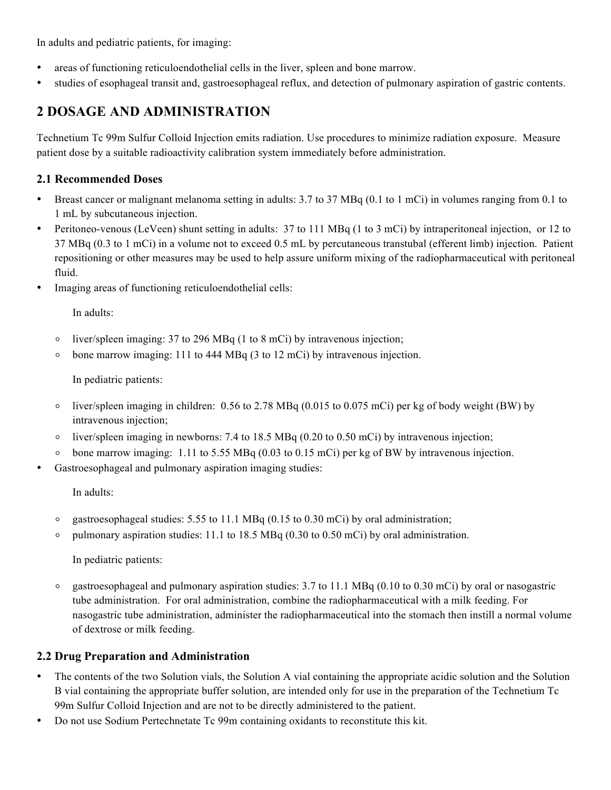In adults and pediatric patients, for imaging:

- areas of functioning reticuloendothelial cells in the liver, spleen and bone marrow.
- studies of esophageal transit and, gastroesophageal reflux, and detection of pulmonary aspiration of gastric contents.

# **2 DOSAGE AND ADMINISTRATION**

Technetium Tc 99m Sulfur Colloid Injection emits radiation. Use procedures to minimize radiation exposure. Measure patient dose by a suitable radioactivity calibration system immediately before administration.

## **2.1 Recommended Doses**

- Breast cancer or malignant melanoma setting in adults: 3.7 to 37 MBq (0.1 to 1 mCi) in volumes ranging from 0.1 to 1 mL by subcutaneous injection.
- Peritoneo-venous (LeVeen) shunt setting in adults: 37 to 111 MBq (1 to 3 mCi) by intraperitoneal injection, or 12 to 37 MBq (0.3 to 1 mCi) in a volume not to exceed 0.5 mL by percutaneous transtubal (efferent limb) injection. Patient repositioning or other measures may be used to help assure uniform mixing of the radiopharmaceutical with peritoneal fluid.
- Imaging areas of functioning reticuloendothelial cells:

In adults:

- ∘ liver/spleen imaging: 37 to 296 MBq (1 to 8 mCi) by intravenous injection;
- ∘ bone marrow imaging: 111 to 444 MBq (3 to 12 mCi) by intravenous injection.

In pediatric patients:

- ∘ liver/spleen imaging in children: 0.56 to 2.78 MBq (0.015 to 0.075 mCi) per kg of body weight (BW) by intravenous injection;
- ∘ liver/spleen imaging in newborns: 7.4 to 18.5 MBq (0.20 to 0.50 mCi) by intravenous injection;
- ∘ bone marrow imaging: 1.11 to 5.55 MBq (0.03 to 0.15 mCi) per kg of BW by intravenous injection.
- Gastroesophageal and pulmonary aspiration imaging studies:

In adults:

- ∘ gastroesophageal studies: 5.55 to 11.1 MBq (0.15 to 0.30 mCi) by oral administration;
- ∘ pulmonary aspiration studies: 11.1 to 18.5 MBq (0.30 to 0.50 mCi) by oral administration.

In pediatric patients:

∘ gastroesophageal and pulmonary aspiration studies: 3.7 to 11.1 MBq (0.10 to 0.30 mCi) by oral or nasogastric tube administration. For oral administration, combine the radiopharmaceutical with a milk feeding. For nasogastric tube administration, administer the radiopharmaceutical into the stomach then instill a normal volume of dextrose or milk feeding.

## **2.2 Drug Preparation and Administration**

- The contents of the two Solution vials, the Solution A vial containing the appropriate acidic solution and the Solution B vial containing the appropriate buffer solution, are intended only for use in the preparation of the Technetium Tc 99m Sulfur Colloid Injection and are not to be directly administered to the patient.
- Do not use Sodium Pertechnetate Tc 99m containing oxidants to reconstitute this kit.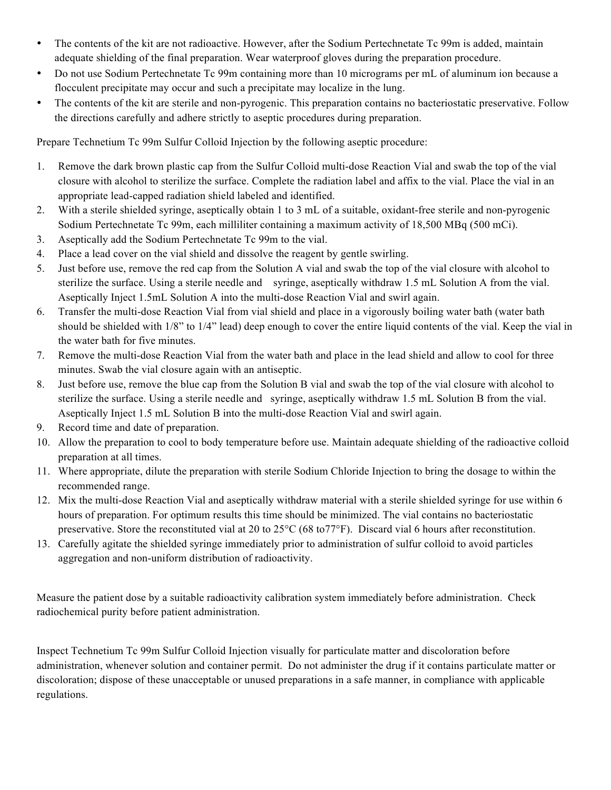- The contents of the kit are not radioactive. However, after the Sodium Pertechnetate Tc 99m is added, maintain adequate shielding of the final preparation. Wear waterproof gloves during the preparation procedure.
- Do not use Sodium Pertechnetate Tc 99m containing more than 10 micrograms per mL of aluminum ion because a flocculent precipitate may occur and such a precipitate may localize in the lung.
- The contents of the kit are sterile and non-pyrogenic. This preparation contains no bacteriostatic preservative. Follow the directions carefully and adhere strictly to aseptic procedures during preparation.

Prepare Technetium Tc 99m Sulfur Colloid Injection by the following aseptic procedure:

- 1. Remove the dark brown plastic cap from the Sulfur Colloid multi-dose Reaction Vial and swab the top of the vial closure with alcohol to sterilize the surface. Complete the radiation label and affix to the vial. Place the vial in an appropriate lead-capped radiation shield labeled and identified.
- 2. With a sterile shielded syringe, aseptically obtain 1 to 3 mL of a suitable, oxidant-free sterile and non-pyrogenic Sodium Pertechnetate Tc 99m, each milliliter containing a maximum activity of 18,500 MBq (500 mCi).
- 3. Aseptically add the Sodium Pertechnetate Tc 99m to the vial.
- 4. Place a lead cover on the vial shield and dissolve the reagent by gentle swirling.
- 5. Just before use, remove the red cap from the Solution A vial and swab the top of the vial closure with alcohol to sterilize the surface. Using a sterile needle and syringe, aseptically withdraw 1.5 mL Solution A from the vial. Aseptically Inject 1.5mL Solution A into the multi-dose Reaction Vial and swirl again.
- 6. Transfer the multi-dose Reaction Vial from vial shield and place in a vigorously boiling water bath (water bath should be shielded with 1/8" to 1/4" lead) deep enough to cover the entire liquid contents of the vial. Keep the vial in the water bath for five minutes.
- 7. Remove the multi-dose Reaction Vial from the water bath and place in the lead shield and allow to cool for three minutes. Swab the vial closure again with an antiseptic.
- 8. Just before use, remove the blue cap from the Solution B vial and swab the top of the vial closure with alcohol to sterilize the surface. Using a sterile needle and syringe, aseptically withdraw 1.5 mL Solution B from the vial. Aseptically Inject 1.5 mL Solution B into the multi-dose Reaction Vial and swirl again.
- 9. Record time and date of preparation.
- 10. Allow the preparation to cool to body temperature before use. Maintain adequate shielding of the radioactive colloid preparation at all times.
- 11. Where appropriate, dilute the preparation with sterile Sodium Chloride Injection to bring the dosage to within the recommended range.
- 12. Mix the multi-dose Reaction Vial and aseptically withdraw material with a sterile shielded syringe for use within 6 hours of preparation. For optimum results this time should be minimized. The vial contains no bacteriostatic preservative. Store the reconstituted vial at 20 to 25°C (68 to77°F). Discard vial 6 hours after reconstitution.
- 13. Carefully agitate the shielded syringe immediately prior to administration of sulfur colloid to avoid particles aggregation and non-uniform distribution of radioactivity.

Measure the patient dose by a suitable radioactivity calibration system immediately before administration. Check radiochemical purity before patient administration.

Inspect Technetium Tc 99m Sulfur Colloid Injection visually for particulate matter and discoloration before administration, whenever solution and container permit. Do not administer the drug if it contains particulate matter or discoloration; dispose of these unacceptable or unused preparations in a safe manner, in compliance with applicable regulations.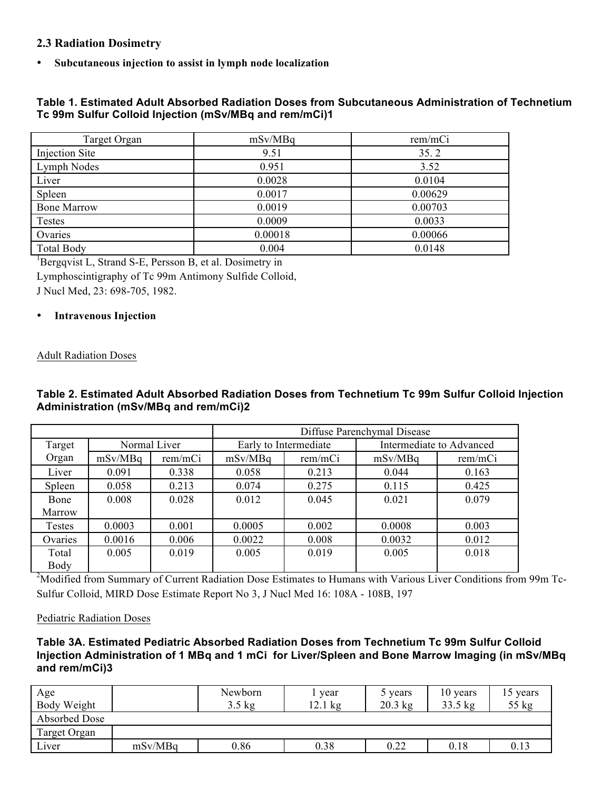### **2.3 Radiation Dosimetry**

• **Subcutaneous injection to assist in lymph node localization**

### **Table 1. Estimated Adult Absorbed Radiation Doses from Subcutaneous Administration of Technetium Tc 99m Sulfur Colloid Injection (mSv/MBq and rem/mCi)1**

| Target Organ       | mSv/MBq | rem/mCi |
|--------------------|---------|---------|
| Injection Site     | 9.51    | 35.2    |
| Lymph Nodes        | 0.951   | 3.52    |
| Liver              | 0.0028  | 0.0104  |
| Spleen             | 0.0017  | 0.00629 |
| <b>Bone Marrow</b> | 0.0019  | 0.00703 |
| Testes             | 0.0009  | 0.0033  |
| Ovaries            | 0.00018 | 0.00066 |
| <b>Total Body</b>  | 0.004   | 0.0148  |

<sup>1</sup>Bergqvist L, Strand S-E, Persson B, et al. Dosimetry in Lymphoscintigraphy of Tc 99m Antimony Sulfide Colloid,

J Nucl Med, 23: 698-705, 1982.

#### • **Intravenous Injection**

#### Adult Radiation Doses

### **Table 2. Estimated Adult Absorbed Radiation Doses from Technetium Tc 99m Sulfur Colloid Injection Administration (mSv/MBq and rem/mCi)2**

|         |         |              | Diffuse Parenchymal Disease |                       |         |                          |
|---------|---------|--------------|-----------------------------|-----------------------|---------|--------------------------|
| Target  |         | Normal Liver |                             | Early to Intermediate |         | Intermediate to Advanced |
| Organ   | mSv/MBq | rem/mCi      | mSv/MBq                     | rem/mCi               | mSv/MBq | rem/mCi                  |
| Liver   | 0.091   | 0.338        | 0.058                       | 0.213                 | 0.044   | 0.163                    |
| Spleen  | 0.058   | 0.213        | 0.074                       | 0.275                 | 0.115   | 0.425                    |
| Bone    | 0.008   | 0.028        | 0.012                       | 0.045                 | 0.021   | 0.079                    |
| Marrow  |         |              |                             |                       |         |                          |
| Testes  | 0.0003  | 0.001        | 0.0005                      | 0.002                 | 0.0008  | 0.003                    |
| Ovaries | 0.0016  | 0.006        | 0.0022                      | 0.008                 | 0.0032  | 0.012                    |
| Total   | 0.005   | 0.019        | 0.005                       | 0.019                 | 0.005   | 0.018                    |
| Body    |         |              |                             |                       |         |                          |

<sup>2</sup>Modified from Summary of Current Radiation Dose Estimates to Humans with Various Liver Conditions from 99m Tc-Sulfur Colloid, MIRD Dose Estimate Report No 3, J Nucl Med 16: 108A - 108B, 197

#### Pediatric Radiation Doses

### **Table 3A. Estimated Pediatric Absorbed Radiation Doses from Technetium Tc 99m Sulfur Colloid Injection Administration of 1 MBq and 1 mCi for Liver/Spleen and Bone Marrow Imaging (in mSv/MBq and rem/mCi)3**

| Age<br>Body Weight |         | Newborn<br>$3.5 \text{ kg}$ | year<br>$k$ g<br>12.1 | 5 years<br>$20.3$ kg | 10 years<br>$33.5$ kg | 15 years<br>$55$ kg |
|--------------------|---------|-----------------------------|-----------------------|----------------------|-----------------------|---------------------|
| Absorbed Dose      |         |                             |                       |                      |                       |                     |
| Target Organ       |         |                             |                       |                      |                       |                     |
| Liver              | mSv/MBq | 0.86                        | 0.38                  | 0.22                 | 0.18                  | 0.13                |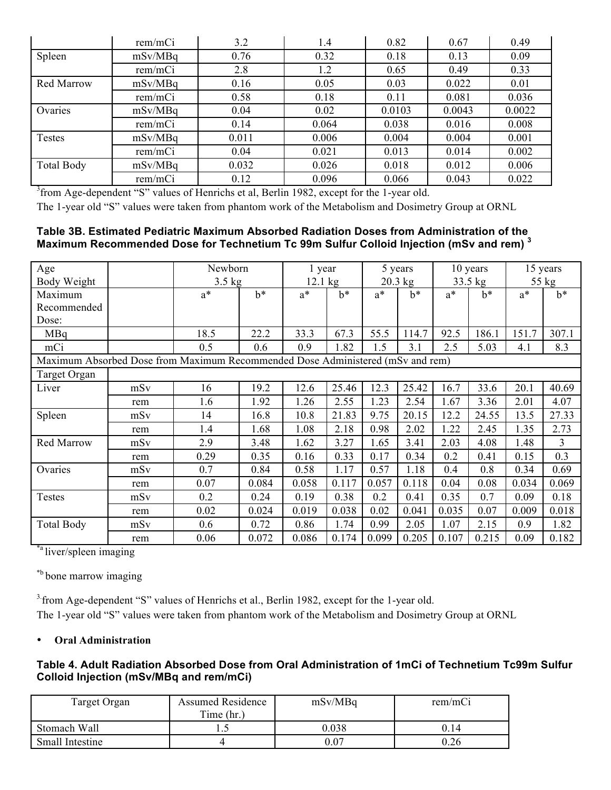|                   | rem/mCi | 3.2   | 1.4   | 0.82   | 0.67   | 0.49   |
|-------------------|---------|-------|-------|--------|--------|--------|
| Spleen            | mSv/MBq | 0.76  | 0.32  | 0.18   | 0.13   | 0.09   |
|                   | rem/mCi | 2.8   | 1.2   | 0.65   | 0.49   | 0.33   |
| <b>Red Marrow</b> | mSv/MBq | 0.16  | 0.05  | 0.03   | 0.022  | 0.01   |
|                   | rem/mCi | 0.58  | 0.18  | 0.11   | 0.081  | 0.036  |
| Ovaries           | mSv/MBq | 0.04  | 0.02  | 0.0103 | 0.0043 | 0.0022 |
|                   | rem/mCi | 0.14  | 0.064 | 0.038  | 0.016  | 0.008  |
| Testes            | mSv/MBq | 0.011 | 0.006 | 0.004  | 0.004  | 0.001  |
|                   | rem/mCi | 0.04  | 0.021 | 0.013  | 0.014  | 0.002  |
| <b>Total Body</b> | mSv/MBq | 0.032 | 0.026 | 0.018  | 0.012  | 0.006  |
|                   | rem/mCi | 0.12  | 0.096 | 0.066  | 0.043  | 0.022  |

<sup>3</sup> from Age-dependent "S" values of Henrichs et al, Berlin 1982, except for the 1-year old.

The 1-year old "S" values were taken from phantom work of the Metabolism and Dosimetry Group at ORNL

## **Table 3B. Estimated Pediatric Maximum Absorbed Radiation Doses from Administration of the Maximum Recommended Dose for Technetium Tc 99m Sulfur Colloid Injection (mSv and rem) <sup>3</sup>**

| Age<br>Body Weight                                                             |     | Newborn<br>$3.5$ kg |       | 1 year<br>$12.1 \text{ kg}$ |       |       | 5 years<br>$20.3$ kg |       | 10 years<br>$33.5$ kg |       | 15 years<br>55 kg |
|--------------------------------------------------------------------------------|-----|---------------------|-------|-----------------------------|-------|-------|----------------------|-------|-----------------------|-------|-------------------|
| Maximum                                                                        |     | $a^*$               | $h^*$ | $a^*$                       | $b^*$ | $a^*$ | $b^*$                | $a^*$ | $b^*$                 | $a^*$ | $b^*$             |
| Recommended                                                                    |     |                     |       |                             |       |       |                      |       |                       |       |                   |
| Dose:                                                                          |     |                     |       |                             |       |       |                      |       |                       |       |                   |
| MBq                                                                            |     | 18.5                | 22.2  | 33.3                        | 67.3  | 55.5  | 114.7                | 92.5  | 186.1                 | 151.7 | 307.1             |
| mCi                                                                            |     | 0.5                 | 0.6   | 0.9                         | 1.82  | 1.5   | 3.1                  | 2.5   | 5.03                  | 4.1   | 8.3               |
| Maximum Absorbed Dose from Maximum Recommended Dose Administered (mSv and rem) |     |                     |       |                             |       |       |                      |       |                       |       |                   |
| Target Organ                                                                   |     |                     |       |                             |       |       |                      |       |                       |       |                   |
| Liver                                                                          | mSv | 16                  | 19.2  | 12.6                        | 25.46 | 12.3  | 25.42                | 16.7  | 33.6                  | 20.1  | 40.69             |
|                                                                                | rem | 1.6                 | 1.92  | 1.26                        | 2.55  | 1.23  | 2.54                 | 1.67  | 3.36                  | 2.01  | 4.07              |
| Spleen                                                                         | mSv | 14                  | 16.8  | 10.8                        | 21.83 | 9.75  | 20.15                | 12.2  | 24.55                 | 13.5  | 27.33             |
|                                                                                | rem | 1.4                 | 1.68  | 1.08                        | 2.18  | 0.98  | 2.02                 | 1.22  | 2.45                  | 1.35  | 2.73              |
| <b>Red Marrow</b>                                                              | mSv | 2.9                 | 3.48  | 1.62                        | 3.27  | 1.65  | 3.41                 | 2.03  | 4.08                  | 1.48  | 3                 |
|                                                                                | rem | 0.29                | 0.35  | 0.16                        | 0.33  | 0.17  | 0.34                 | 0.2   | 0.41                  | 0.15  | 0.3               |
| Ovaries                                                                        | mSv | 0.7                 | 0.84  | 0.58                        | 1.17  | 0.57  | 1.18                 | 0.4   | 0.8                   | 0.34  | 0.69              |
|                                                                                | rem | 0.07                | 0.084 | 0.058                       | 0.117 | 0.057 | 0.118                | 0.04  | 0.08                  | 0.034 | 0.069             |
| Testes                                                                         | mSv | 0.2                 | 0.24  | 0.19                        | 0.38  | 0.2   | 0.41                 | 0.35  | 0.7                   | 0.09  | 0.18              |
|                                                                                | rem | 0.02                | 0.024 | 0.019                       | 0.038 | 0.02  | 0.041                | 0.035 | 0.07                  | 0.009 | 0.018             |
| <b>Total Body</b>                                                              | mSv | 0.6                 | 0.72  | 0.86                        | 1.74  | 0.99  | 2.05                 | 1.07  | 2.15                  | 0.9   | 1.82              |
|                                                                                | rem | 0.06                | 0.072 | 0.086                       | 0.174 | 0.099 | 0.205                | 0.107 | 0.215                 | 0.09  | 0.182             |

\*a liver/spleen imaging

\*b bone marrow imaging

<sup>3</sup> from Age-dependent "S" values of Henrichs et al., Berlin 1982, except for the 1-year old. The 1-year old "S" values were taken from phantom work of the Metabolism and Dosimetry Group at ORNL

### • **Oral Administration**

### **Table 4. Adult Radiation Absorbed Dose from Oral Administration of 1mCi of Technetium Tc99m Sulfur Colloid Injection (mSv/MBq and rem/mCi)**

| Target Organ    | <b>Assumed Residence</b><br>Time (hr.) | mSv/MBq  | rem/mCi |
|-----------------|----------------------------------------|----------|---------|
| Stomach Wall    | ن. ۱                                   | 0.038    | J 14    |
| Small Intestine |                                        | $0.07\,$ | , 26    |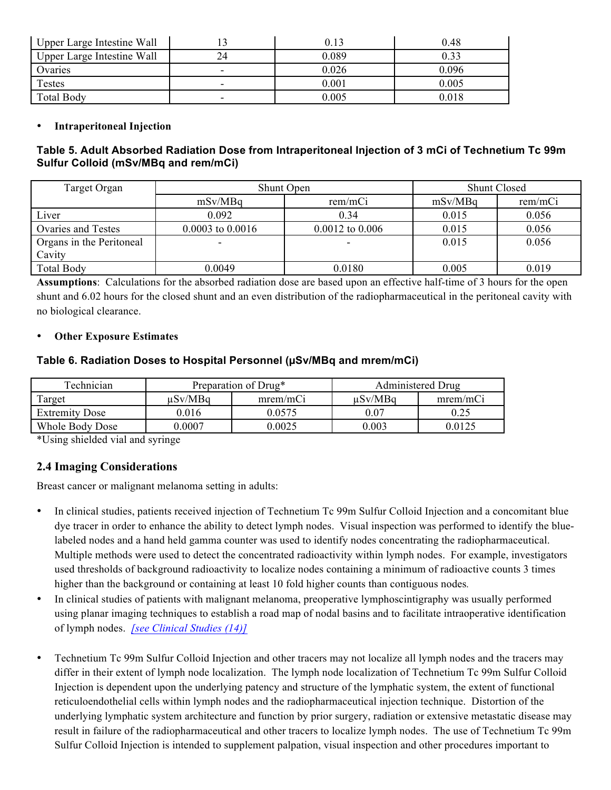| Upper Large Intestine Wall |    | 0.13  | 0.48  |
|----------------------------|----|-------|-------|
| Upper Large Intestine Wall | 24 | 0.089 | 0.33  |
| Ovaries                    | -  | 0.026 | 0.096 |
| Testes                     |    | 0.001 | 0.005 |
| <b>Total Body</b>          | -  | 0.005 | 0.018 |

### • **Intraperitoneal Injection**

### **Table 5. Adult Absorbed Radiation Dose from Intraperitoneal Injection of 3 mCi of Technetium Tc 99m Sulfur Colloid (mSv/MBq and rem/mCi)**

| Target Organ             | Shunt Open           | <b>Shunt Closed</b> |         |         |
|--------------------------|----------------------|---------------------|---------|---------|
|                          | mSv/MBq              | rem/mCi             | mSv/MBq | rem/mCi |
| Liver                    | 0.092                | 0.34                | 0.015   | 0.056   |
| Ovaries and Testes       | $0.0003$ to $0.0016$ | $0.0012$ to $0.006$ | 0.015   | 0.056   |
| Organs in the Peritoneal | -                    |                     | 0.015   | 0.056   |
| Cavity                   |                      |                     |         |         |
| <b>Total Body</b>        | 0.0049               | 0.0180              | 0.005   | 0.019   |

**Assumptions**: Calculations for the absorbed radiation dose are based upon an effective half-time of 3 hours for the open shunt and 6.02 hours for the closed shunt and an even distribution of the radiopharmaceutical in the peritoneal cavity with no biological clearance.

#### • **Other Exposure Estimates**

### **Table 6. Radiation Doses to Hospital Personnel (µSv/MBq and mrem/mCi)**

| Technician            | Preparation of Drug* |          | Administered Drug |          |
|-----------------------|----------------------|----------|-------------------|----------|
| Target                | uSv/MBa              | mrem/mCi | uSv/MBa           | mrem/mCi |
| <b>Extremity Dose</b> | 0.016                | 0.0575   | 0.07              | 0.25     |
| Whole Body Dose       | 0.0007               | 0.0025   | 0.003             | 0.0125   |

\*Using shielded vial and syringe

## **2.4 Imaging Considerations**

Breast cancer or malignant melanoma setting in adults:

- In clinical studies, patients received injection of Technetium Tc 99m Sulfur Colloid Injection and a concomitant blue dye tracer in order to enhance the ability to detect lymph nodes. Visual inspection was performed to identify the bluelabeled nodes and a hand held gamma counter was used to identify nodes concentrating the radiopharmaceutical. Multiple methods were used to detect the concentrated radioactivity within lymph nodes. For example, investigators used thresholds of background radioactivity to localize nodes containing a minimum of radioactive counts 3 times higher than the background or containing at least 10 fold higher counts than contiguous nodes*.*
- In clinical studies of patients with malignant melanoma, preoperative lymphoscintigraphy was usually performed using planar imaging techniques to establish a road map of nodal basins and to facilitate intraoperative identification of lymph nodes. *[see Clinical Studies (14)]*
- Technetium Tc 99m Sulfur Colloid Injection and other tracers may not localize all lymph nodes and the tracers may differ in their extent of lymph node localization. The lymph node localization of Technetium Tc 99m Sulfur Colloid Injection is dependent upon the underlying patency and structure of the lymphatic system, the extent of functional reticuloendothelial cells within lymph nodes and the radiopharmaceutical injection technique. Distortion of the underlying lymphatic system architecture and function by prior surgery, radiation or extensive metastatic disease may result in failure of the radiopharmaceutical and other tracers to localize lymph nodes. The use of Technetium Tc 99m Sulfur Colloid Injection is intended to supplement palpation, visual inspection and other procedures important to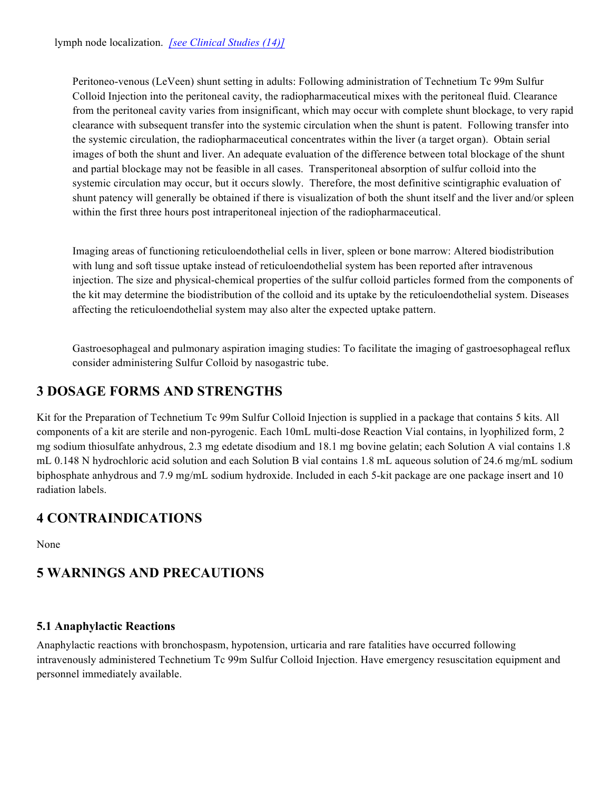Peritoneo-venous (LeVeen) shunt setting in adults: Following administration of Technetium Tc 99m Sulfur Colloid Injection into the peritoneal cavity, the radiopharmaceutical mixes with the peritoneal fluid. Clearance from the peritoneal cavity varies from insignificant, which may occur with complete shunt blockage, to very rapid clearance with subsequent transfer into the systemic circulation when the shunt is patent. Following transfer into the systemic circulation, the radiopharmaceutical concentrates within the liver (a target organ). Obtain serial images of both the shunt and liver. An adequate evaluation of the difference between total blockage of the shunt and partial blockage may not be feasible in all cases. Transperitoneal absorption of sulfur colloid into the systemic circulation may occur, but it occurs slowly. Therefore, the most definitive scintigraphic evaluation of shunt patency will generally be obtained if there is visualization of both the shunt itself and the liver and/or spleen within the first three hours post intraperitoneal injection of the radiopharmaceutical.

Imaging areas of functioning reticuloendothelial cells in liver, spleen or bone marrow: Altered biodistribution with lung and soft tissue uptake instead of reticuloendothelial system has been reported after intravenous injection. The size and physical-chemical properties of the sulfur colloid particles formed from the components of the kit may determine the biodistribution of the colloid and its uptake by the reticuloendothelial system. Diseases affecting the reticuloendothelial system may also alter the expected uptake pattern.

Gastroesophageal and pulmonary aspiration imaging studies: To facilitate the imaging of gastroesophageal reflux consider administering Sulfur Colloid by nasogastric tube.

# **3 DOSAGE FORMS AND STRENGTHS**

Kit for the Preparation of Technetium Tc 99m Sulfur Colloid Injection is supplied in a package that contains 5 kits. All components of a kit are sterile and non-pyrogenic. Each 10mL multi-dose Reaction Vial contains, in lyophilized form, 2 mg sodium thiosulfate anhydrous, 2.3 mg edetate disodium and 18.1 mg bovine gelatin; each Solution A vial contains 1.8 mL 0.148 N hydrochloric acid solution and each Solution B vial contains 1.8 mL aqueous solution of 24.6 mg/mL sodium biphosphate anhydrous and 7.9 mg/mL sodium hydroxide. Included in each 5-kit package are one package insert and 10 radiation labels.

## **4 CONTRAINDICATIONS**

None

## **5 WARNINGS AND PRECAUTIONS**

## **5.1 Anaphylactic Reactions**

Anaphylactic reactions with bronchospasm, hypotension, urticaria and rare fatalities have occurred following intravenously administered Technetium Tc 99m Sulfur Colloid Injection. Have emergency resuscitation equipment and personnel immediately available.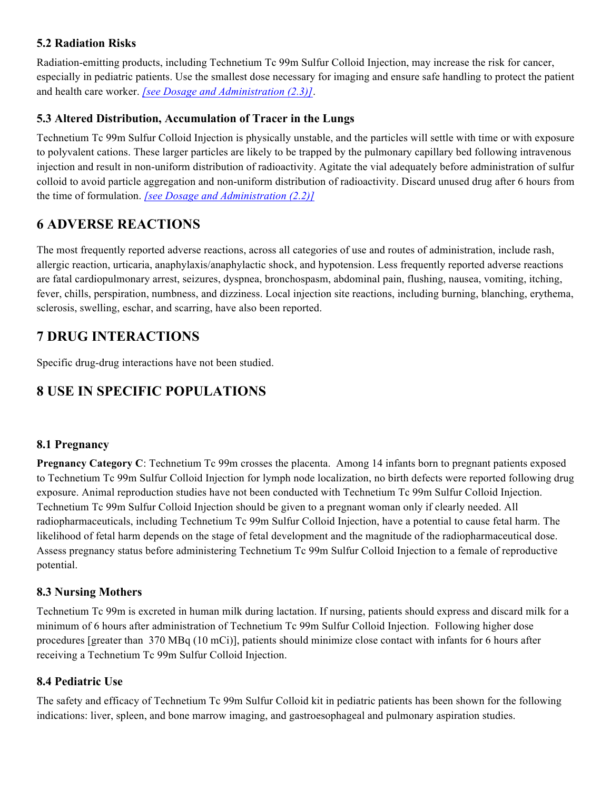## **5.2 Radiation Risks**

Radiation-emitting products, including Technetium Tc 99m Sulfur Colloid Injection, may increase the risk for cancer, especially in pediatric patients. Use the smallest dose necessary for imaging and ensure safe handling to protect the patient and health care worker. *[see Dosage and Administration (2.3)]*.

## **5.3 Altered Distribution, Accumulation of Tracer in the Lungs**

Technetium Tc 99m Sulfur Colloid Injection is physically unstable, and the particles will settle with time or with exposure to polyvalent cations. These larger particles are likely to be trapped by the pulmonary capillary bed following intravenous injection and result in non-uniform distribution of radioactivity. Agitate the vial adequately before administration of sulfur colloid to avoid particle aggregation and non-uniform distribution of radioactivity. Discard unused drug after 6 hours from the time of formulation. *[see Dosage and Administration (2.2)]*

# **6 ADVERSE REACTIONS**

The most frequently reported adverse reactions, across all categories of use and routes of administration, include rash, allergic reaction, urticaria, anaphylaxis/anaphylactic shock, and hypotension. Less frequently reported adverse reactions are fatal cardiopulmonary arrest, seizures, dyspnea, bronchospasm, abdominal pain, flushing, nausea, vomiting, itching, fever, chills, perspiration, numbness, and dizziness. Local injection site reactions, including burning, blanching, erythema, sclerosis, swelling, eschar, and scarring, have also been reported.

## **7 DRUG INTERACTIONS**

Specific drug-drug interactions have not been studied.

# **8 USE IN SPECIFIC POPULATIONS**

## **8.1 Pregnancy**

**Pregnancy Category C**: Technetium Tc 99m crosses the placenta. Among 14 infants born to pregnant patients exposed to Technetium Tc 99m Sulfur Colloid Injection for lymph node localization, no birth defects were reported following drug exposure. Animal reproduction studies have not been conducted with Technetium Tc 99m Sulfur Colloid Injection. Technetium Tc 99m Sulfur Colloid Injection should be given to a pregnant woman only if clearly needed. All radiopharmaceuticals, including Technetium Tc 99m Sulfur Colloid Injection, have a potential to cause fetal harm. The likelihood of fetal harm depends on the stage of fetal development and the magnitude of the radiopharmaceutical dose. Assess pregnancy status before administering Technetium Tc 99m Sulfur Colloid Injection to a female of reproductive potential.

## **8.3 Nursing Mothers**

Technetium Tc 99m is excreted in human milk during lactation. If nursing, patients should express and discard milk for a minimum of 6 hours after administration of Technetium Tc 99m Sulfur Colloid Injection. Following higher dose procedures [greater than 370 MBq (10 mCi)], patients should minimize close contact with infants for 6 hours after receiving a Technetium Tc 99m Sulfur Colloid Injection.

## **8.4 Pediatric Use**

The safety and efficacy of Technetium Tc 99m Sulfur Colloid kit in pediatric patients has been shown for the following indications: liver, spleen, and bone marrow imaging, and gastroesophageal and pulmonary aspiration studies.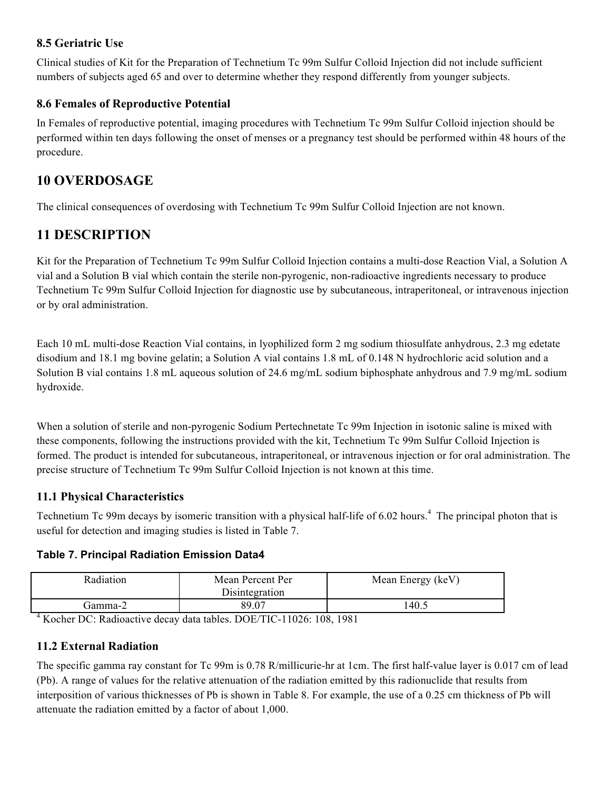## **8.5 Geriatric Use**

Clinical studies of Kit for the Preparation of Technetium Tc 99m Sulfur Colloid Injection did not include sufficient numbers of subjects aged 65 and over to determine whether they respond differently from younger subjects.

## **8.6 Females of Reproductive Potential**

In Females of reproductive potential, imaging procedures with Technetium Tc 99m Sulfur Colloid injection should be performed within ten days following the onset of menses or a pregnancy test should be performed within 48 hours of the procedure.

## **10 OVERDOSAGE**

The clinical consequences of overdosing with Technetium Tc 99m Sulfur Colloid Injection are not known.

## **11 DESCRIPTION**

Kit for the Preparation of Technetium Tc 99m Sulfur Colloid Injection contains a multi-dose Reaction Vial, a Solution A vial and a Solution B vial which contain the sterile non-pyrogenic, non-radioactive ingredients necessary to produce Technetium Tc 99m Sulfur Colloid Injection for diagnostic use by subcutaneous, intraperitoneal, or intravenous injection or by oral administration.

Each 10 mL multi-dose Reaction Vial contains, in lyophilized form 2 mg sodium thiosulfate anhydrous, 2.3 mg edetate disodium and 18.1 mg bovine gelatin; a Solution A vial contains 1.8 mL of 0.148 N hydrochloric acid solution and a Solution B vial contains 1.8 mL aqueous solution of 24.6 mg/mL sodium biphosphate anhydrous and 7.9 mg/mL sodium hydroxide.

When a solution of sterile and non-pyrogenic Sodium Pertechnetate Tc 99m Injection in isotonic saline is mixed with these components, following the instructions provided with the kit, Technetium Tc 99m Sulfur Colloid Injection is formed. The product is intended for subcutaneous, intraperitoneal, or intravenous injection or for oral administration. The precise structure of Technetium Tc 99m Sulfur Colloid Injection is not known at this time.

## **11.1 Physical Characteristics**

Technetium Tc 99m decays by isomeric transition with a physical half-life of 6.02 hours.<sup>4</sup> The principal photon that is useful for detection and imaging studies is listed in Table 7.

## **Table 7. Principal Radiation Emission Data4**

| <b>Radiation</b> | Mean Percent Per<br>Disintegration | Mean Energy (keV) |
|------------------|------------------------------------|-------------------|
| famma-2)         | 89.07                              | 40.               |

 $4$  Kocher DC: Radioactive decay data tables. DOE/TIC-11026: 108, 1981

## **11.2 External Radiation**

The specific gamma ray constant for Tc 99m is 0.78 R/millicurie-hr at 1cm. The first half-value layer is 0.017 cm of lead (Pb). A range of values for the relative attenuation of the radiation emitted by this radionuclide that results from interposition of various thicknesses of Pb is shown in Table 8. For example, the use of a 0.25 cm thickness of Pb will attenuate the radiation emitted by a factor of about 1,000.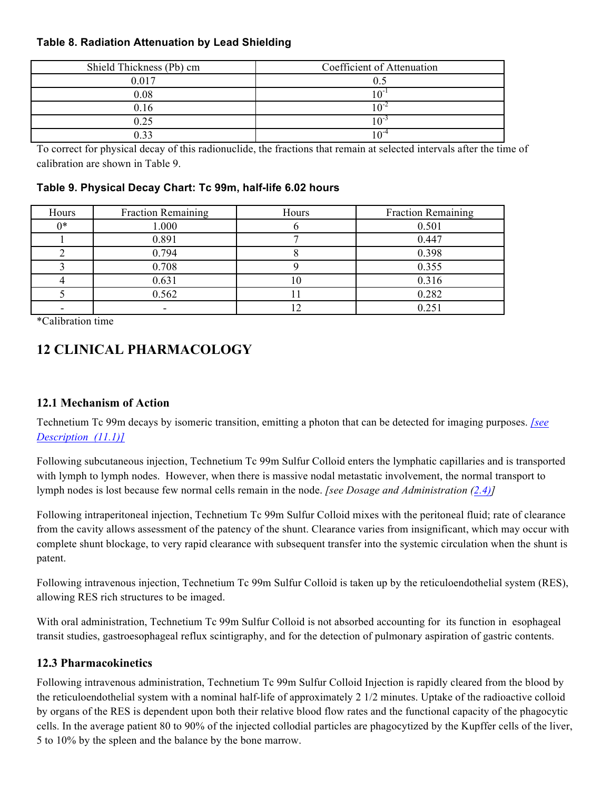### **Table 8. Radiation Attenuation by Lead Shielding**

| Shield Thickness (Pb) cm | Coefficient of Attenuation |
|--------------------------|----------------------------|
| 0.017                    |                            |
| 0.08                     |                            |
| 0.16                     |                            |
| 0.25                     |                            |
| n 22                     |                            |

To correct for physical decay of this radionuclide, the fractions that remain at selected intervals after the time of calibration are shown in Table 9.

### **Table 9. Physical Decay Chart: Tc 99m, half-life 6.02 hours**

| Hours | <b>Fraction Remaining</b> | Hours | <b>Fraction Remaining</b> |
|-------|---------------------------|-------|---------------------------|
| $0*$  | 1.000                     |       | 0.501                     |
|       | 0.891                     |       | 0.447                     |
|       | 0.794                     |       | 0.398                     |
|       | 0.708                     |       | 0.355                     |
|       | 0.631                     | O     | 0.316                     |
|       | 0.562                     |       | 0.282                     |
|       |                           |       | 0.251                     |

\*Calibration time

# **12 CLINICAL PHARMACOLOGY**

## **12.1 Mechanism of Action**

Technetium Tc 99m decays by isomeric transition, emitting a photon that can be detected for imaging purposes. *[see Description (11.1)]*

Following subcutaneous injection, Technetium Tc 99m Sulfur Colloid enters the lymphatic capillaries and is transported with lymph to lymph nodes. However, when there is massive nodal metastatic involvement, the normal transport to lymph nodes is lost because few normal cells remain in the node. *[see Dosage and Administration (2.4)]* 

Following intraperitoneal injection, Technetium Tc 99m Sulfur Colloid mixes with the peritoneal fluid; rate of clearance from the cavity allows assessment of the patency of the shunt. Clearance varies from insignificant, which may occur with complete shunt blockage, to very rapid clearance with subsequent transfer into the systemic circulation when the shunt is patent.

Following intravenous injection, Technetium Tc 99m Sulfur Colloid is taken up by the reticuloendothelial system (RES), allowing RES rich structures to be imaged.

With oral administration, Technetium Tc 99m Sulfur Colloid is not absorbed accounting for its function in esophageal transit studies, gastroesophageal reflux scintigraphy, and for the detection of pulmonary aspiration of gastric contents.

## **12.3 Pharmacokinetics**

Following intravenous administration, Technetium Tc 99m Sulfur Colloid Injection is rapidly cleared from the blood by the reticuloendothelial system with a nominal half-life of approximately 2 1/2 minutes. Uptake of the radioactive colloid by organs of the RES is dependent upon both their relative blood flow rates and the functional capacity of the phagocytic cells. In the average patient 80 to 90% of the injected collodial particles are phagocytized by the Kupffer cells of the liver, 5 to 10% by the spleen and the balance by the bone marrow.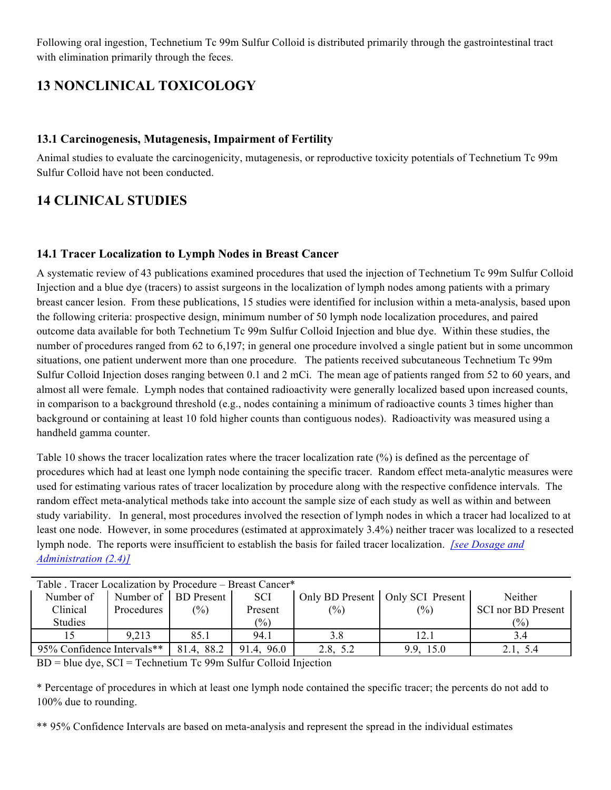Following oral ingestion, Technetium Tc 99m Sulfur Colloid is distributed primarily through the gastrointestinal tract with elimination primarily through the feces.

# **13 NONCLINICAL TOXICOLOGY**

### **13.1 Carcinogenesis, Mutagenesis, Impairment of Fertility**

Animal studies to evaluate the carcinogenicity, mutagenesis, or reproductive toxicity potentials of Technetium Tc 99m Sulfur Colloid have not been conducted.

## **14 CLINICAL STUDIES**

### **14.1 Tracer Localization to Lymph Nodes in Breast Cancer**

A systematic review of 43 publications examined procedures that used the injection of Technetium Tc 99m Sulfur Colloid Injection and a blue dye (tracers) to assist surgeons in the localization of lymph nodes among patients with a primary breast cancer lesion. From these publications, 15 studies were identified for inclusion within a meta-analysis, based upon the following criteria: prospective design, minimum number of 50 lymph node localization procedures, and paired outcome data available for both Technetium Tc 99m Sulfur Colloid Injection and blue dye. Within these studies, the number of procedures ranged from 62 to 6,197; in general one procedure involved a single patient but in some uncommon situations, one patient underwent more than one procedure. The patients received subcutaneous Technetium Tc 99m Sulfur Colloid Injection doses ranging between 0.1 and 2 mCi. The mean age of patients ranged from 52 to 60 years, and almost all were female. Lymph nodes that contained radioactivity were generally localized based upon increased counts, in comparison to a background threshold (e.g., nodes containing a minimum of radioactive counts 3 times higher than background or containing at least 10 fold higher counts than contiguous nodes). Radioactivity was measured using a handheld gamma counter.

Table 10 shows the tracer localization rates where the tracer localization rate (%) is defined as the percentage of procedures which had at least one lymph node containing the specific tracer. Random effect meta-analytic measures were used for estimating various rates of tracer localization by procedure along with the respective confidence intervals. The random effect meta-analytical methods take into account the sample size of each study as well as within and between study variability. In general, most procedures involved the resection of lymph nodes in which a tracer had localized to at least one node. However, in some procedures (estimated at approximately 3.4%) neither tracer was localized to a resected lymph node. The reports were insufficient to establish the basis for failed tracer localization. *[see Dosage and Administration (2.4)]* 

| Table . Tracer Localization by Procedure - Breast Cancer* |            |                      |             |          |                                    |                                  |  |  |  |  |  |
|-----------------------------------------------------------|------------|----------------------|-------------|----------|------------------------------------|----------------------------------|--|--|--|--|--|
| Number of                                                 |            | Number of BD Present | <b>SCI</b>  |          | Only BD Present   Only SCI Present | Neither                          |  |  |  |  |  |
| Clinical                                                  | Procedures | $\frac{(0)}{0}$      | Present     | $(\%)$   | $(\%)$                             | <b>SCI</b> nor <b>BD</b> Present |  |  |  |  |  |
| <b>Studies</b>                                            |            |                      | $(\%)$      |          |                                    | $\frac{1}{2}$                    |  |  |  |  |  |
|                                                           | 9,213      | 85.1                 | 94.1        | 3.8      | 12.1                               | 3.4                              |  |  |  |  |  |
| 95% Confidence Intervals**                                |            | 81.4, 88.2           | 96.0<br>914 | 2.8. 5.2 | 9.9.15.0                           | 2.1. 5.4                         |  |  |  |  |  |

BD = blue dye, SCI = Technetium Tc 99m Sulfur Colloid Injection

\* Percentage of procedures in which at least one lymph node contained the specific tracer; the percents do not add to 100% due to rounding.

\*\* 95% Confidence Intervals are based on meta-analysis and represent the spread in the individual estimates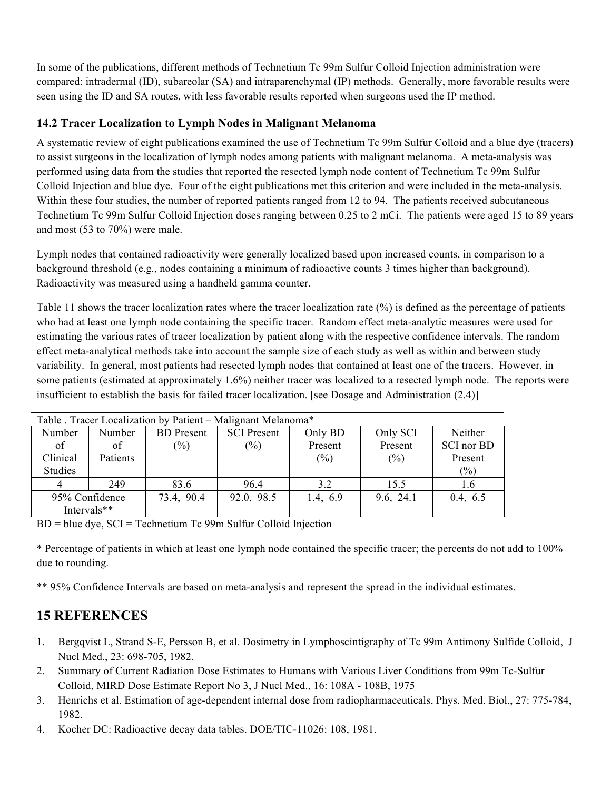In some of the publications, different methods of Technetium Tc 99m Sulfur Colloid Injection administration were compared: intradermal (ID), subareolar (SA) and intraparenchymal (IP) methods. Generally, more favorable results were seen using the ID and SA routes, with less favorable results reported when surgeons used the IP method.

## **14.2 Tracer Localization to Lymph Nodes in Malignant Melanoma**

A systematic review of eight publications examined the use of Technetium Tc 99m Sulfur Colloid and a blue dye (tracers) to assist surgeons in the localization of lymph nodes among patients with malignant melanoma. A meta-analysis was performed using data from the studies that reported the resected lymph node content of Technetium Tc 99m Sulfur Colloid Injection and blue dye. Four of the eight publications met this criterion and were included in the meta-analysis. Within these four studies, the number of reported patients ranged from 12 to 94. The patients received subcutaneous Technetium Tc 99m Sulfur Colloid Injection doses ranging between 0.25 to 2 mCi. The patients were aged 15 to 89 years and most (53 to 70%) were male.

Lymph nodes that contained radioactivity were generally localized based upon increased counts, in comparison to a background threshold (e.g., nodes containing a minimum of radioactive counts 3 times higher than background). Radioactivity was measured using a handheld gamma counter.

Table 11 shows the tracer localization rates where the tracer localization rate (%) is defined as the percentage of patients who had at least one lymph node containing the specific tracer. Random effect meta-analytic measures were used for estimating the various rates of tracer localization by patient along with the respective confidence intervals. The random effect meta-analytical methods take into account the sample size of each study as well as within and between study variability. In general, most patients had resected lymph nodes that contained at least one of the tracers. However, in some patients (estimated at approximately 1.6%) neither tracer was localized to a resected lymph node. The reports were insufficient to establish the basis for failed tracer localization. [see Dosage and Administration (2.4)]

| Table Tracer Localization by Patient – Malignant Melanoma* |          |                   |                    |          |           |            |  |  |  |  |
|------------------------------------------------------------|----------|-------------------|--------------------|----------|-----------|------------|--|--|--|--|
| Number                                                     | Number   | <b>BD</b> Present | <b>SCI</b> Present | Only BD  | Only SCI  | Neither    |  |  |  |  |
| of                                                         | of       | $(\%)$            | $(\%)$             | Present  | Present   | SCI nor BD |  |  |  |  |
| Clinical                                                   | Patients |                   |                    | $(\%)$   | $(\%)$    | Present    |  |  |  |  |
| Studies                                                    |          |                   |                    |          |           | $(\%)$     |  |  |  |  |
| 4                                                          | 249      | 83.6              | 96.4               | 3.2      | 15.5      | 1.6        |  |  |  |  |
| 95% Confidence                                             |          | 73.4, 90.4        | 92.0, 98.5         | 1.4, 6.9 | 9.6, 24.1 | 0.4, 6.5   |  |  |  |  |
| Intervals**                                                |          |                   |                    |          |           |            |  |  |  |  |

BD = blue dye, SCI = Technetium Tc 99m Sulfur Colloid Injection

\* Percentage of patients in which at least one lymph node contained the specific tracer; the percents do not add to 100% due to rounding.

\*\* 95% Confidence Intervals are based on meta-analysis and represent the spread in the individual estimates.

# **15 REFERENCES**

- 1. Bergqvist L, Strand S-E, Persson B, et al. Dosimetry in Lymphoscintigraphy of Tc 99m Antimony Sulfide Colloid, J Nucl Med., 23: 698-705, 1982.
- 2. Summary of Current Radiation Dose Estimates to Humans with Various Liver Conditions from 99m Tc-Sulfur Colloid, MIRD Dose Estimate Report No 3, J Nucl Med., 16: 108A - 108B, 1975
- 3. Henrichs et al. Estimation of age-dependent internal dose from radiopharmaceuticals, Phys. Med. Biol., 27: 775-784, 1982.
- 4. Kocher DC: Radioactive decay data tables. DOE/TIC-11026: 108, 1981.